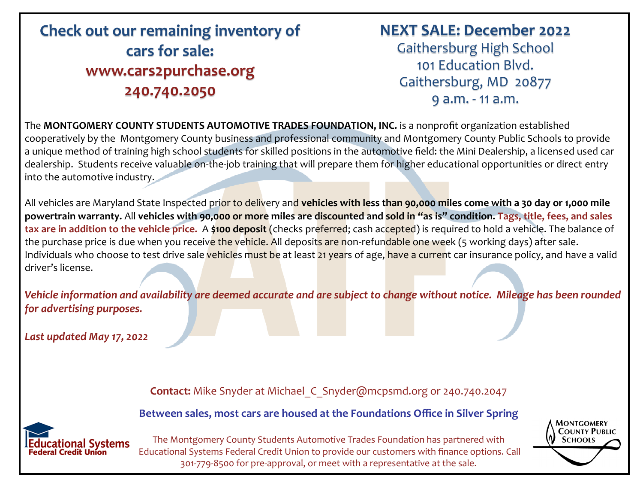# **Check out our remaining inventory of cars for sale: www.cars2purchase.org 240.740.2050**

#### **NEXT SALE: December 2022**

Gaithersburg High School 101 Education Blvd. Gaithersburg, MD 20877 9 a.m. - 11 a.m.

The **MONTGOMERY COUNTY STUDENTS AUTOMOTIVE TRADES FOUNDATION, INC.** is a nonprofit organization established cooperatively by the Montgomery County business and professional community and Montgomery County Public Schools to provide a unique method of training high school students for skilled positions in the automotive field: the Mini Dealership, a licensed used car dealership. Students receive valuable on-the-job training that will prepare them for higher educational opportunities or direct entry into the automotive industry.

All vehicles are Maryland State Inspected prior to delivery and **vehicles with less than 90,000 miles come with a 30 day or 1,000 mile powertrain warranty.** All **vehicles with 90,000 or more miles are discounted and sold in "as is" condition. Tags, title, fees, and sales tax are in addition to the vehicle price.** A **\$100 deposit** (checks preferred; cash accepted) is required to hold a vehicle. The balance of the purchase price is due when you receive the vehicle. All deposits are non-refundable one week (5 working days) after sale. Individuals who choose to test drive sale vehicles must be at least 21 years of age, have a current car insurance policy, and have a valid driver's license.

*Vehicle information and availability are deemed accurate and are subject to change without notice. Mileage has been rounded for advertising purposes.* 

*Last updated May 17, 2022*

**Contact:** Mike Snyder at Michael\_C\_Snyder@mcpsmd.org or 240.740.2047

**Between sales, most cars are housed at the Foundations Office in Silver Spring** 



The Montgomery County Students Automotive Trades Foundation has partnered with Educational Systems Federal Credit Union to provide our customers with finance options. Call 301-779-8500 for pre-approval, or meet with a representative at the sale.

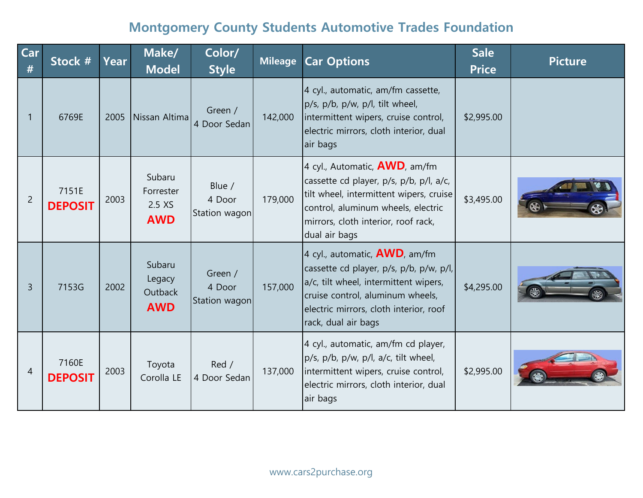| Car<br>#       | Stock #                 | Year | Make/<br><b>Model</b>                       | Color/<br><b>Style</b>             | <b>Mileage</b> | <b>Car Options</b>                                                                                                                                                                                                        | <b>Sale</b><br><b>Price</b> | <b>Picture</b> |
|----------------|-------------------------|------|---------------------------------------------|------------------------------------|----------------|---------------------------------------------------------------------------------------------------------------------------------------------------------------------------------------------------------------------------|-----------------------------|----------------|
| 1              | 6769E                   |      | 2005 Nissan Altima                          | Green /<br>4 Door Sedan            | 142,000        | 4 cyl., automatic, am/fm cassette,<br>p/s, p/b, p/w, p/l, tilt wheel,<br>intermittent wipers, cruise control,<br>electric mirrors, cloth interior, dual<br>air bags                                                       | \$2,995.00                  |                |
| $\overline{2}$ | 7151E<br><b>DEPOSIT</b> | 2003 | Subaru<br>Forrester<br>2.5 XS<br><b>AWD</b> | Blue /<br>4 Door<br>Station wagon  | 179,000        | 4 cyl., Automatic, <b>AWD</b> , am/fm<br>cassette cd player, p/s, p/b, p/l, a/c,<br>tilt wheel, intermittent wipers, cruise<br>control, aluminum wheels, electric<br>mirrors, cloth interior, roof rack,<br>dual air bags | \$3,495.00                  |                |
| $\overline{3}$ | 7153G                   | 2002 | Subaru<br>Legacy<br>Outback<br><b>AWD</b>   | Green /<br>4 Door<br>Station wagon | 157,000        | 4 cyl., automatic, $AWD$ , am/fm<br>cassette cd player, p/s, p/b, p/w, p/l,<br>a/c, tilt wheel, intermittent wipers,<br>cruise control, aluminum wheels,<br>electric mirrors, cloth interior, roof<br>rack, dual air bags | \$4,295.00                  |                |
| 4              | 7160E<br><b>DEPOSIT</b> | 2003 | Toyota<br>Corolla LE                        | Red /<br>4 Door Sedan              | 137,000        | 4 cyl., automatic, am/fm cd player,<br>p/s, p/b, p/w, p/l, a/c, tilt wheel,<br>intermittent wipers, cruise control,<br>electric mirrors, cloth interior, dual<br>air bags                                                 | \$2,995.00                  |                |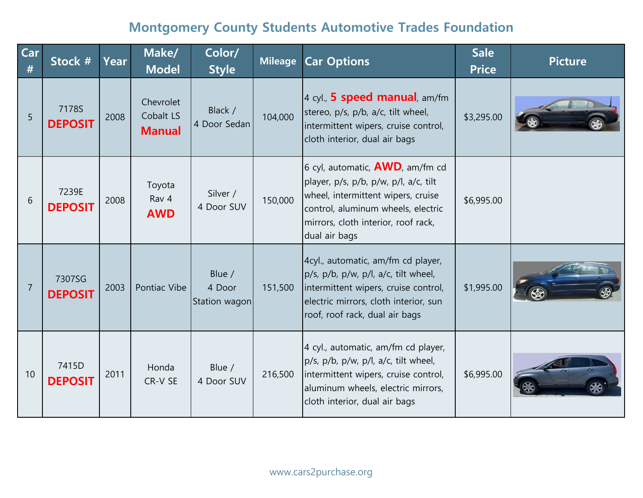| Car<br># | Stock #                  | Year | Make/<br><b>Model</b>                   | Color/<br><b>Style</b>            | <b>Mileage</b> | <b>Car Options</b>                                                                                                                                                                                              | <b>Sale</b><br><b>Price</b> | <b>Picture</b> |
|----------|--------------------------|------|-----------------------------------------|-----------------------------------|----------------|-----------------------------------------------------------------------------------------------------------------------------------------------------------------------------------------------------------------|-----------------------------|----------------|
| 5        | 7178S<br><b>DEPOSIT</b>  | 2008 | Chevrolet<br>Cobalt LS<br><b>Manual</b> | Black /<br>4 Door Sedan           | 104,000        | 4 cyl., <b>5 speed manual</b> , am/fm<br>stereo, p/s, p/b, a/c, tilt wheel,<br>intermittent wipers, cruise control,<br>cloth interior, dual air bags                                                            | \$3,295.00                  |                |
| 6        | 7239E<br><b>DEPOSIT</b>  | 2008 | Toyota<br>Rav 4<br><b>AWD</b>           | Silver /<br>4 Door SUV            | 150,000        | 6 cyl, automatic, $AWD$ , am/fm cd<br>player, p/s, p/b, p/w, p/l, a/c, tilt<br>wheel, intermittent wipers, cruise<br>control, aluminum wheels, electric<br>mirrors, cloth interior, roof rack,<br>dual air bags | \$6,995.00                  |                |
| 7        | 7307SG<br><b>DEPOSIT</b> | 2003 | Pontiac Vibe                            | Blue /<br>4 Door<br>Station wagon | 151,500        | 4cyl., automatic, am/fm cd player,<br>p/s, p/b, p/w, p/l, a/c, tilt wheel,<br>intermittent wipers, cruise control,<br>electric mirrors, cloth interior, sun<br>roof, roof rack, dual air bags                   | \$1,995.00                  |                |
| 10       | 7415D<br><b>DEPOSIT</b>  | 2011 | Honda<br>CR-V SE                        | Blue /<br>4 Door SUV              | 216,500        | 4 cyl., automatic, am/fm cd player,<br>p/s, p/b, p/w, p/l, a/c, tilt wheel,<br>intermittent wipers, cruise control,<br>aluminum wheels, electric mirrors,<br>cloth interior, dual air bags                      | \$6,995.00                  |                |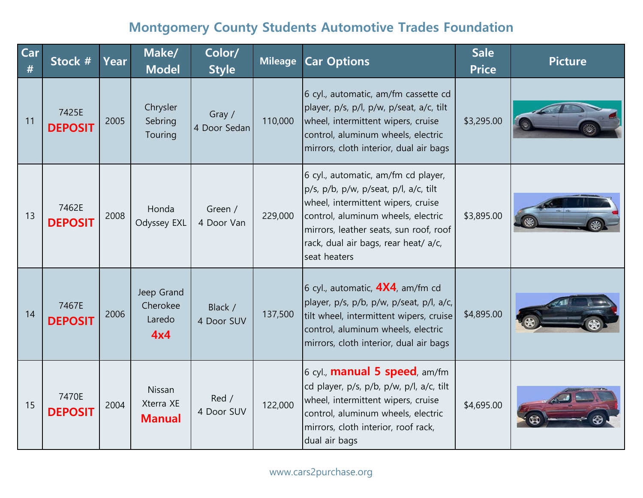| Car<br># | Stock #                 | Year | Make/<br><b>Model</b>                   | Color/<br><b>Style</b> | <b>Mileage</b> | <b>Car Options</b>                                                                                                                                                                                                                                         | <b>Sale</b><br><b>Price</b> | <b>Picture</b> |
|----------|-------------------------|------|-----------------------------------------|------------------------|----------------|------------------------------------------------------------------------------------------------------------------------------------------------------------------------------------------------------------------------------------------------------------|-----------------------------|----------------|
| 11       | 7425E<br><b>DEPOSIT</b> | 2005 | Chrysler<br>Sebring<br>Touring          | Gray /<br>4 Door Sedan | 110,000        | 6 cyl., automatic, am/fm cassette cd<br>player, p/s, p/l, p/w, p/seat, a/c, tilt<br>wheel, intermittent wipers, cruise<br>control, aluminum wheels, electric<br>mirrors, cloth interior, dual air bags                                                     | \$3,295.00                  |                |
| 13       | 7462E<br><b>DEPOSIT</b> | 2008 | Honda<br>Odyssey EXL                    | Green /<br>4 Door Van  | 229,000        | 6 cyl., automatic, am/fm cd player,<br>p/s, p/b, p/w, p/seat, p/l, a/c, tilt<br>wheel, intermittent wipers, cruise<br>control, aluminum wheels, electric<br>mirrors, leather seats, sun roof, roof<br>rack, dual air bags, rear heat/ a/c,<br>seat heaters | \$3,895.00                  |                |
| 14       | 7467E<br><b>DEPOSIT</b> | 2006 | Jeep Grand<br>Cherokee<br>Laredo<br>4x4 | Black /<br>4 Door SUV  | 137,500        | 6 cyl., automatic, $4X4$ , am/fm cd<br>player, p/s, p/b, p/w, p/seat, p/l, a/c,<br>tilt wheel, intermittent wipers, cruise<br>control, aluminum wheels, electric<br>mirrors, cloth interior, dual air bags                                                 | \$4,895.00                  |                |
| 15       | 7470E<br><b>DEPOSIT</b> | 2004 | Nissan<br>Xterra XE<br><b>Manual</b>    | Red /<br>4 Door SUV    | 122,000        | 6 cyl., <b>manual 5 speed</b> , am/fm<br>cd player, p/s, p/b, p/w, p/l, a/c, tilt<br>wheel, intermittent wipers, cruise<br>control, aluminum wheels, electric<br>mirrors, cloth interior, roof rack,<br>dual air bags                                      | \$4,695.00                  |                |